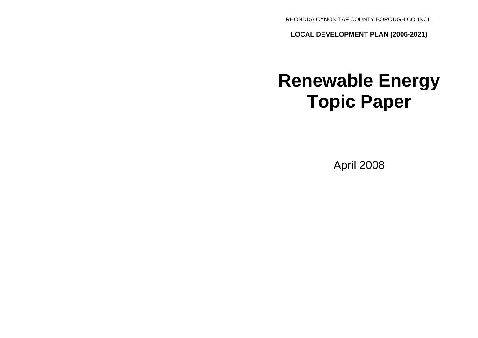RHONDDA CYNON TAF COUNTY BOROUGH COUNCIL

**LOCAL DEVELOPMENT PLAN (2006-2021)**

# **Renewable Energy Topic Paper**

April 2008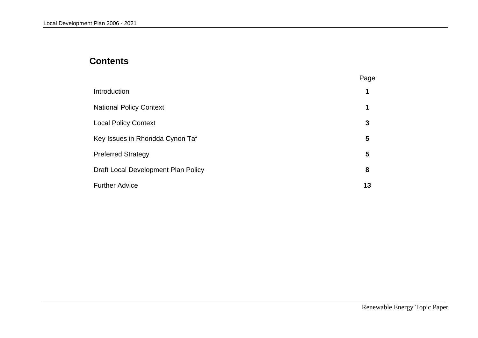# **Contents**

|                                     | Page |
|-------------------------------------|------|
| Introduction                        |      |
| <b>National Policy Context</b>      |      |
| <b>Local Policy Context</b>         | 3    |
| Key Issues in Rhondda Cynon Taf     | 5    |
| <b>Preferred Strategy</b>           | 5    |
| Draft Local Development Plan Policy | 8    |
| <b>Further Advice</b>               | 13   |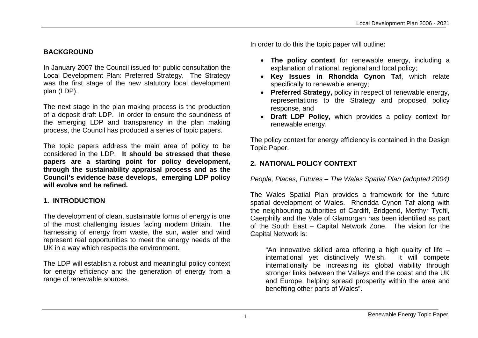# **BACKGROUND**

In January 2007 the Council issued for public consultation the Local Development Plan: Preferred Strategy. The Strategy was the first stage of the new statutory local development plan (LDP).

The next stage in the plan making process is the production of a deposit draft LDP. In order to ensure the soundness of the emerging LDP and transparency in the plan making process, the Council has produced a series of topic papers.

The topic papers address the main area of policy to be considered in the LDP. **It should be stressed that these papers are a starting point for policy development, through the sustainability appraisal process and as the Council's evidence base develops, emerging LDP policy will evolve and be refined.**

# **1. INTRODUCTION**

The development of clean, sustainable forms of energy is one of the most challenging issues facing modern Britain. The harnessing of energy from waste, the sun, water and wind represent real opportunities to meet the energy needs of the UK in a way which respects the environment.

The LDP will establish a robust and meaningful policy context for energy efficiency and the generation of energy from a range of renewable sources.

In order to do this the topic paper will outline:

- **The policy context** for renewable energy, including a explanation of national, regional and local policy;
- **Key Issues in Rhondda Cynon Taf**, which relate specifically to renewable energy:
- **Preferred Strategy,** policy in respect of renewable energy, representations to the Strategy and proposed policy response, and
- **Draft LDP Policy,** which provides a policy context for renewable energy.

The policy context for energy efficiency is contained in the Design Topic Paper.

#### **2. NATIONAL POLICY CONTEXT**

*People, Places, Futures – The Wales Spatial Plan (adopted 2004)*

The Wales Spatial Plan provides a framework for the future spatial development of Wales. Rhondda Cynon Taf along with the neighbouring authorities of Cardiff, Bridgend, Merthyr Tydfil, Caerphilly and the Vale of Glamorgan has been identified as part of the South East – Capital Network Zone. The vision for the Capital Network is:

"An innovative skilled area offering a high quality of life – international yet distinctively Welsh. It will compete internationally be increasing its global viability through stronger links between the Valleys and the coast and the UK and Europe, helping spread prosperity within the area and benefiting other parts of Wales".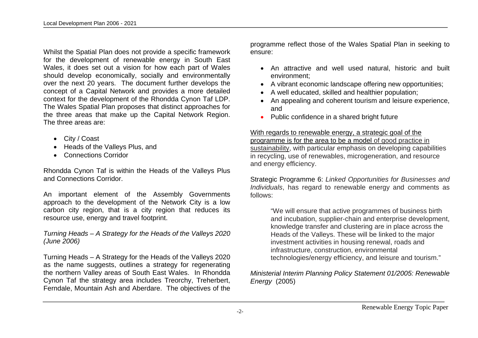Whilst the Spatial Plan does not provide a specific framework for the development of renewable energy in South East Wales, it does set out a vision for how each part of Wales should develop economically, socially and environmentally over the next 20 years. The document further develops the concept of a Capital Network and provides a more detailed context for the development of the Rhondda Cynon Taf LDP. The Wales Spatial Plan proposes that distinct approaches for the three areas that make up the Capital Network Region. The three areas are:

- City / Coast
- Heads of the Valleys Plus, and
- Connections Corridor

Rhondda Cynon Taf is within the Heads of the Valleys Plus and Connections Corridor.

An important element of the Assembly Governments approach to the development of the Network City is a low carbon city region, that is a city region that reduces its resource use, energy and travel footprint.

*Turning Heads – A Strategy for the Heads of the Valleys 2020 (June 2006)*

Turning Heads – A Strategy for the Heads of the Valleys 2020 as the name suggests, outlines a strategy for regenerating the northern Valley areas of South East Wales. In Rhondda Cynon Taf the strategy area includes Treorchy, Treherbert, Ferndale, Mountain Ash and Aberdare. The objectives of the programme reflect those of the Wales Spatial Plan in seeking to ensure:

- An attractive and well used natural, historic and built environment;
- A vibrant economic landscape offering new opportunities;
- A well educated, skilled and healthier population;
- An appealing and coherent tourism and leisure experience, and
- Public confidence in a shared bright future

With regards to renewable energy, a strategic goal of the programme is for the area to be a model of good practice in sustainability, with particular emphasis on developing capabilities in recycling, use of renewables, microgeneration, and resource and energy efficiency.

Strategic Programme 6: *Linked Opportunities for Businesses and Individuals*, has regard to renewable energy and comments as follows:

"We will ensure that active programmes of business birth and incubation, supplier-chain and enterprise development, knowledge transfer and clustering are in place across the Heads of the Valleys. These will be linked to the major investment activities in housing renewal, roads and infrastructure, construction, environmental technologies/energy efficiency, and leisure and tourism."

*Ministerial Interim Planning Policy Statement 01/2005: Renewable Energy* (2005)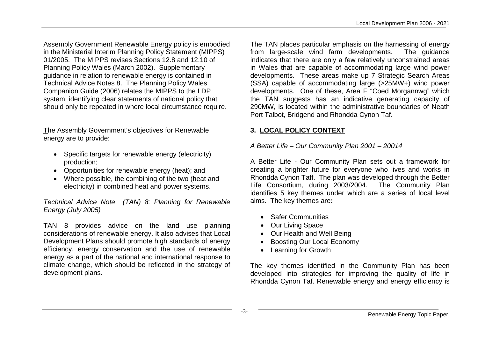Assembly Government Renewable Energy policy is embodied in the Ministerial Interim Planning Policy Statement (MIPPS) 01/2005. The MIPPS revises Sections 12.8 and 12.10 of Planning Policy Wales (March 2002). Supplementary guidance in relation to renewable energy is contained in Technical Advice Notes 8. The Planning Policy Wales Companion Guide (2006) relates the MIPPS to the LDP system, identifying clear statements of national policy that should only be repeated in where local circumstance require.

The Assembly Government's objectives for Renewable energy are to provide:

- Specific targets for renewable energy (electricity) production;
- Opportunities for renewable energy (heat); and
- Where possible, the combining of the two (heat and electricity) in combined heat and power systems.

#### *Technical Advice Note (TAN) 8: Planning for Renewable Energy (July 2005)*

TAN 8 provides advice on the land use planning considerations of renewable energy. It also advises that Local Development Plans should promote high standards of energy efficiency, energy conservation and the use of renewable energy as a part of the national and international response to climate change, which should be reflected in the strategy of development plans.

The TAN places particular emphasis on the harnessing of energy from large-scale wind farm developments. The guidance indicates that there are only a few relatively unconstrained areas in Wales that are capable of accommodating large wind power developments. These areas make up 7 Strategic Search Areas (SSA) capable of accommodating large (>25MW+) wind power developments. One of these, Area F "Coed Morgannwg" which the TAN suggests has an indicative generating capacity of 290MW, is located within the administrative boundaries of Neath Port Talbot, Bridgend and Rhondda Cynon Taf.

# **3. LOCAL POLICY CONTEXT**

# *A Better Life – Our Community Plan 2001 – 20014*

A Better Life - Our Community Plan sets out a framework for creating a brighter future for everyone who lives and works in Rhondda Cynon Taff. The plan was developed through the Better Life Consortium, during 2003/2004. The Community Plan identifies 5 key themes under which are a series of local level aims. The key themes are**:**

- Safer Communities
- Our Living Space
- Our Health and Well Being
- Boosting Our Local Economy
- Learning for Growth

The key themes identified in the Community Plan has been developed into strategies for improving the quality of life in Rhondda Cynon Taf. Renewable energy and energy efficiency is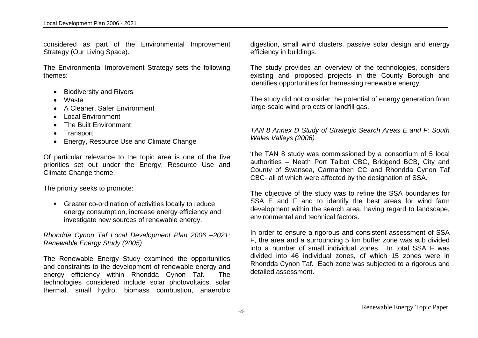considered as part of the Environmental Improvement Strategy (Our Living Space).

The Environmental Improvement Strategy sets the following themes:

- Biodiversity and Rivers
- Waste
- A Cleaner, Safer Environment
- Local Environment
- The Built Environment
- Transport
- Energy, Resource Use and Climate Change

Of particular relevance to the topic area is one of the five priorities set out under the Energy, Resource Use and Climate Change theme.

The priority seeks to promote:

Greater co-ordination of activities locally to reduce energy consumption, increase energy efficiency and investigate new sources of renewable energy.

*Rhondda Cynon Taf Local Development Plan 2006 –2021: Renewable Energy Study (2005)*

The Renewable Energy Study examined the opportunities and constraints to the development of renewable energy and energy efficiency within Rhondda Cynon Taf. The technologies considered include solar photovoltaics, solar thermal, small hydro, biomass combustion, anaerobic

digestion, small wind clusters, passive solar design and energy efficiency in buildings.

The study provides an overview of the technologies, considers existing and proposed projects in the County Borough and identifies opportunities for harnessing renewable energy.

The study did not consider the potential of energy generation from large-scale wind projects or landfill gas.

*TAN 8 Annex D Study of Strategic Search Areas E and F: South Wales Valleys (2006)*

The TAN 8 study was commissioned by a consortium of 5 local authorities – Neath Port Talbot CBC, Bridgend BCB, City and County of Swansea, Carmarthen CC and Rhondda Cynon Taf CBC- all of which were affected by the designation of SSA.

The objective of the study was to refine the SSA boundaries for SSA E and F and to identify the best areas for wind farm development within the search area, having regard to landscape, environmental and technical factors.

In order to ensure a rigorous and consistent assessment of SSA F, the area and a surrounding 5 km buffer zone was sub divided into a number of small individual zones. In total SSA F was divided into 46 individual zones, of which 15 zones were in Rhondda Cynon Taf. Each zone was subjected to a rigorous and detailed assessment.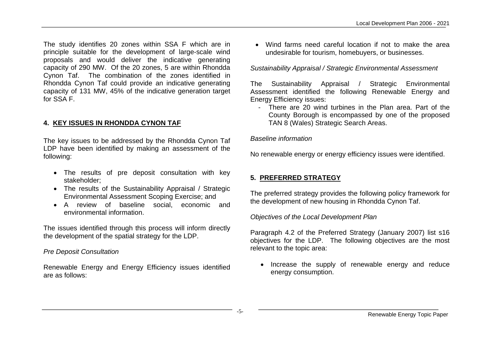The study identifies 20 zones within SSA F which are in principle suitable for the development of large-scale wind proposals and would deliver the indicative generating capacity of 290 MW. Of the 20 zones, 5 are within Rhondda Cynon Taf. The combination of the zones identified in Rhondda Cynon Taf could provide an indicative generating capacity of 131 MW, 45% of the indicative generation target for SSA F.

#### **4. KEY ISSUES IN RHONDDA CYNON TAF**

The key issues to be addressed by the Rhondda Cynon Taf LDP have been identified by making an assessment of the following:

- The results of pre deposit consultation with key stakeholder;
- The results of the Sustainability Appraisal / Strategic Environmental Assessment Scoping Exercise; and
- A review of baseline social, economic and environmental information.

The issues identified through this process will inform directly the development of the spatial strategy for the LDP.

#### *Pre Deposit Consultation*

Renewable Energy and Energy Efficiency issues identified are as follows:

 Wind farms need careful location if not to make the area undesirable for tourism, homebuyers, or businesses.

#### *Sustainability Appraisal / Strategic Environmental Assessment*

The Sustainability Appraisal / Strategic Environmental Assessment identified the following Renewable Energy and Energy Efficiency issues:

- There are 20 wind turbines in the Plan area. Part of the County Borough is encompassed by one of the proposed TAN 8 (Wales) Strategic Search Areas.

*Baseline information*

No renewable energy or energy efficiency issues were identified.

# **5. PREFERRED STRATEGY**

The preferred strategy provides the following policy framework for the development of new housing in Rhondda Cynon Taf.

*Objectives of the Local Development Plan*

Paragraph 4.2 of the Preferred Strategy (January 2007) list s16 objectives for the LDP. The following objectives are the most relevant to the topic area:

• Increase the supply of renewable energy and reduce energy consumption.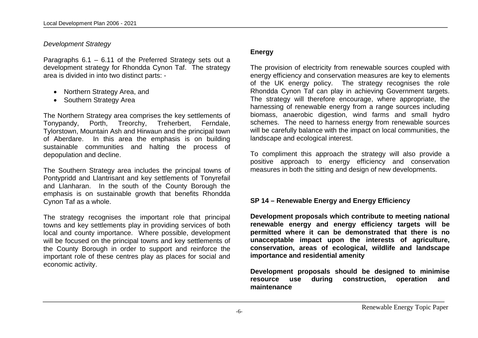#### *Development Strategy*

Paragraphs 6.1 – 6.11 of the Preferred Strategy sets out a development strategy for Rhondda Cynon Taf. The strategy area is divided in into two distinct parts: -

- Northern Strategy Area, and
- Southern Strategy Area

The Northern Strategy area comprises the key settlements of<br>Tonvoandy. Porth. Treorchy. Treherbert. Ferndale. Porth, Treorchy, Treherbert, Ferndale, Tylorstown, Mountain Ash and Hirwaun and the principal town of Aberdare. In this area the emphasis is on building sustainable communities and halting the process of depopulation and decline.

The Southern Strategy area includes the principal towns of Pontypridd and Llantrisant and key settlements of Tonyrefail and Llanharan. In the south of the County Borough the emphasis is on sustainable growth that benefits Rhondda Cynon Taf as a whole.

The strategy recognises the important role that principal towns and key settlements play in providing services of both local and county importance. Where possible, development will be focused on the principal towns and key settlements of the County Borough in order to support and reinforce the important role of these centres play as places for social and economic activity.

#### **Energy**

The provision of electricity from renewable sources coupled with energy efficiency and conservation measures are key to elements of the UK energy policy. The strategy recognises the role Rhondda Cynon Taf can play in achieving Government targets. The strategy will therefore encourage, where appropriate, the harnessing of renewable energy from a range sources including biomass, anaerobic digestion, wind farms and small hydro schemes. The need to harness energy from renewable sources will be carefully balance with the impact on local communities, the landscape and ecological interest.

To compliment this approach the strategy will also provide a positive approach to energy efficiency and conservation measures in both the sitting and design of new developments.

#### **SP 14 – Renewable Energy and Energy Efficiency**

**Development proposals which contribute to meeting national renewable energy and energy efficiency targets will be permitted where it can be demonstrated that there is no unacceptable impact upon the interests of agriculture, conservation, areas of ecological, wildlife and landscape importance and residential amenity**

**Development proposals should be designed to minimise resource use during construction, operation and maintenance**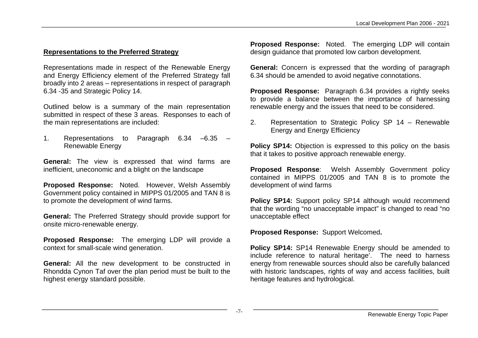# **Representations to the Preferred Strategy**

Representations made in respect of the Renewable Energy and Energy Efficiency element of the Preferred Strategy fall broadly into 2 areas – representations in respect of paragraph 6.34 -35 and Strategic Policy 14.

Outlined below is a summary of the main representation submitted in respect of these 3 areas. Responses to each of the main representations are included:

1. Representations to Paragraph 6.34 –6.35 – Renewable Energy

**General:** The view is expressed that wind farms are inefficient, uneconomic and a blight on the landscape

**Proposed Response:** Noted. However, Welsh Assembly Government policy contained in MIPPS 01/2005 and TAN 8 is to promote the development of wind farms.

**General:** The Preferred Strategy should provide support for onsite micro-renewable energy.

**Proposed Response:** The emerging LDP will provide a context for small-scale wind generation.

**General:** All the new development to be constructed in Rhondda Cynon Taf over the plan period must be built to the highest energy standard possible.

**Proposed Response:** Noted. The emerging LDP will contain design guidance that promoted low carbon development.

**General:** Concern is expressed that the wording of paragraph 6.34 should be amended to avoid negative connotations.

**Proposed Response:** Paragraph 6.34 provides a rightly seeks to provide a balance between the importance of harnessing renewable energy and the issues that need to be considered.

2. Representation to Strategic Policy SP 14 – Renewable Energy and Energy Efficiency

**Policy SP14:** Objection is expressed to this policy on the basis that it takes to positive approach renewable energy.

**Proposed Response**: Welsh Assembly Government policy contained in MIPPS 01/2005 and TAN 8 is to promote the development of wind farms

**Policy SP14:** Support policy SP14 although would recommend that the wording "no unacceptable impact" is changed to read "no unacceptable effect

**Proposed Response:** Support Welcomed**.**

**Policy SP14:** SP14 Renewable Energy should be amended to include reference to natural heritage'. The need to harness energy from renewable sources should also be carefully balanced with historic landscapes, rights of way and access facilities, built heritage features and hydrological.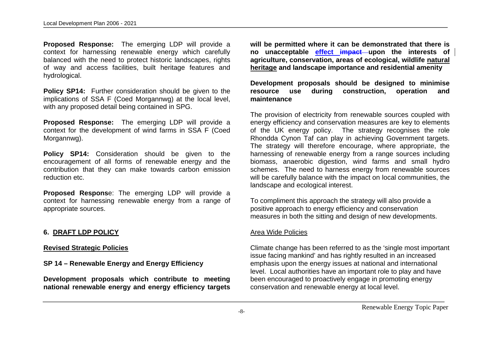**Proposed Response:** The emerging LDP will provide a context for harnessing renewable energy which carefully balanced with the need to protect historic landscapes, rights of way and access facilities, built heritage features and hydrological.

**Policy SP14:** Further consideration should be given to the implications of SSA F (Coed Morgannwg) at the local level, with any proposed detail being contained in SPG.

**Proposed Response:** The emerging LDP will provide a context for the development of wind farms in SSA F (Coed Morgannwg).

**Policy SP14:** Consideration should be given to the encouragement of all forms of renewable energy and the contribution that they can make towards carbon emission reduction etc.

**Proposed Respons**e: The emerging LDP will provide a context for harnessing renewable energy from a range of appropriate sources.

#### **6. DRAFT LDP POLICY**

#### **Revised Strategic Policies**

#### **SP 14 – Renewable Energy and Energy Efficiency**

**Development proposals which contribute to meeting national renewable energy and energy efficiency targets**  **will be permitted where it can be demonstrated that there is no unacceptable effect impact upon the interests of agriculture, conservation, areas of ecological, wildlife natural heritage and landscape importance and residential amenity**

**Development proposals should be designed to minimise resource use during construction, operation and maintenance**

The provision of electricity from renewable sources coupled with energy efficiency and conservation measures are key to elements of the UK energy policy. The strategy recognises the role Rhondda Cynon Taf can play in achieving Government targets. The strategy will therefore encourage, where appropriate, the harnessing of renewable energy from a range sources including biomass, anaerobic digestion, wind farms and small hydro schemes. The need to harness energy from renewable sources will be carefully balance with the impact on local communities, the landscape and ecological interest.

To compliment this approach the strategy will also provide a positive approach to energy efficiency and conservation measures in both the sitting and design of new developments.

#### Area Wide Policies

Climate change has been referred to as the 'single most important issue facing mankind' and has rightly resulted in an increased emphasis upon the energy issues at national and international level. Local authorities have an important role to play and have been encouraged to proactively engage in promoting energy conservation and renewable energy at local level.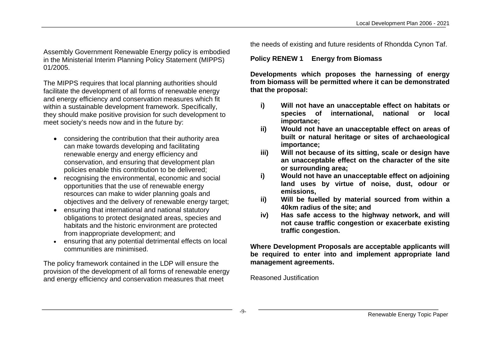Assembly Government Renewable Energy policy is embodied in the Ministerial Interim Planning Policy Statement (MIPPS) 01/2005.

The MIPPS requires that local planning authorities should facilitate the development of all forms of renewable energy and energy efficiency and conservation measures which fit within a sustainable development framework. Specifically, they should make positive provision for such development to meet society's needs now and in the future by:

- considering the contribution that their authority area can make towards developing and facilitating renewable energy and energy efficiency and conservation, and ensuring that development plan policies enable this contribution to be delivered;
- recognising the environmental, economic and social opportunities that the use of renewable energy resources can make to wider planning goals and objectives and the delivery of renewable energy target:
- ensuring that international and national statutory obligations to protect designated areas, species and habitats and the historic environment are protected from inappropriate development; and
- ensuring that any potential detrimental effects on local communities are minimised.

The policy framework contained in the LDP will ensure the provision of the development of all forms of renewable energy and energy efficiency and conservation measures that meet

the needs of existing and future residents of Rhondda Cynon Taf.

#### **Policy RENEW 1 Energy from Biomass**

**Developments which proposes the harnessing of energy from biomass will be permitted where it can be demonstrated that the proposal:**

- **i) Will not have an unacceptable effect on habitats or species of international, national or local importance;**
- **ii) Would not have an unacceptable effect on areas of built or natural heritage or sites of archaeological importance;**
- **iii) Will not because of its sitting, scale or design have an unacceptable effect on the character of the site or surrounding area;**
- **i) Would not have an unacceptable effect on adjoining land uses by virtue of noise, dust, odour or emissions,**
- **ii) Will be fuelled by material sourced from within a 40km radius of the site; and**
- **iv) Has safe access to the highway network, and will not cause traffic congestion or exacerbate existing traffic congestion.**

**Where Development Proposals are acceptable applicants will be required to enter into and implement appropriate land management agreements.**

Reasoned Justification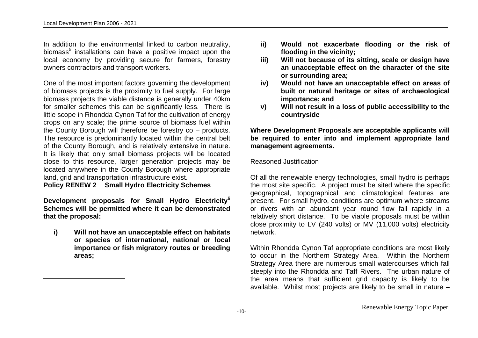$\overline{a}$ 

In addition to the environmental linked to carbon neutrality, biomass<sup>5</sup> installations can have a positive impact upon the local economy by providing secure for farmers, forestry owners contractors and transport workers.

One of the most important factors governing the development of biomass projects is the proximity to fuel supply. For large biomass projects the viable distance is generally under 40km for smaller schemes this can be significantly less. There is little scope in Rhondda Cynon Taf for the cultivation of energy crops on any scale; the prime source of biomass fuel within the County Borough will therefore be forestry co – products. The resource is predominantly located within the central belt of the County Borough, and is relatively extensive in nature. It is likely that only small biomass projects will be located close to this resource, larger generation projects may be located anywhere in the County Borough where appropriate land, grid and transportation infrastructure exist.

**Policy RENEW 2 Small Hydro Electricity Schemes**

**Development proposals for Small Hydro Electricity<sup>6</sup> Schemes will be permitted where it can be demonstrated that the proposal:**

**i) Will not have an unacceptable effect on habitats or species of international, national or local importance or fish migratory routes or breeding areas;**

- **ii) Would not exacerbate flooding or the risk of flooding in the vicinity;**
- **iii) Will not because of its sitting, scale or design have an unacceptable effect on the character of the site or surrounding area;**
- **iv) Would not have an unacceptable effect on areas of built or natural heritage or sites of archaeological importance; and**
- **v) Will not result in a loss of public accessibility to the countryside**

**Where Development Proposals are acceptable applicants will be required to enter into and implement appropriate land management agreements.**

Reasoned Justification

Of all the renewable energy technologies, small hydro is perhaps the most site specific. A project must be sited where the specific geographical, topographical and climatological features are present. For small hydro, conditions are optimum where streams or rivers with an abundant year round flow fall rapidly in a relatively short distance. To be viable proposals must be within close proximity to LV (240 volts) or MV (11,000 volts) electricity network.

Within Rhondda Cynon Taf appropriate conditions are most likely to occur in the Northern Strategy Area. Within the Northern Strategy Area there are numerous small watercourses which fall steeply into the Rhondda and Taff Rivers. The urban nature of the area means that sufficient grid capacity is likely to be available. Whilst most projects are likely to be small in nature –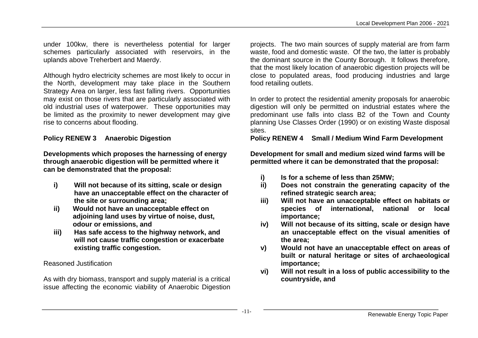under 100kw, there is nevertheless potential for larger schemes particularly associated with reservoirs, in the uplands above Treherbert and Maerdy.

Although hydro electricity schemes are most likely to occur in the North, development may take place in the Southern Strategy Area on larger, less fast falling rivers. Opportunities may exist on those rivers that are particularly associated with old industrial uses of waterpower. These opportunities may be limited as the proximity to newer development may give rise to concerns about flooding.

# **Policy RENEW 3 Anaerobic Digestion**

**Developments which proposes the harnessing of energy through anaerobic digestion will be permitted where it can be demonstrated that the proposal:**

- **i) Will not because of its sitting, scale or design have an unacceptable effect on the character of the site or surrounding area;**
- **ii) Would not have an unacceptable effect on adjoining land uses by virtue of noise, dust, odour or emissions, and**
- **iii) Has safe access to the highway network, and will not cause traffic congestion or exacerbate existing traffic congestion.**

#### Reasoned Justification

As with dry biomass, transport and supply material is a critical issue affecting the economic viability of Anaerobic Digestion projects. The two main sources of supply material are from farm waste, food and domestic waste. Of the two, the latter is probably the dominant source in the County Borough. It follows therefore, that the most likely location of anaerobic digestion projects will be close to populated areas, food producing industries and large food retailing outlets.

In order to protect the residential amenity proposals for anaerobic digestion will only be permitted on industrial estates where the predominant use falls into class B2 of the Town and County planning Use Classes Order (1990) or on existing Waste disposal sites.

#### **Policy RENEW 4 Small / Medium Wind Farm Development**

**Development for small and medium sized wind farms will be permitted where it can be demonstrated that the proposal:**

- **i) Is for a scheme of less than 25MW;**
- **ii) Does not constrain the generating capacity of the refined strategic search area;**
- **iii) Will not have an unacceptable effect on habitats or species of international, national or local importance;**
- **iv) Will not because of its sitting, scale or design have an unacceptable effect on the visual amenities of the area;**
- **v) Would not have an unacceptable effect on areas of built or natural heritage or sites of archaeological importance;**
- **vi) Will not result in a loss of public accessibility to the countryside, and**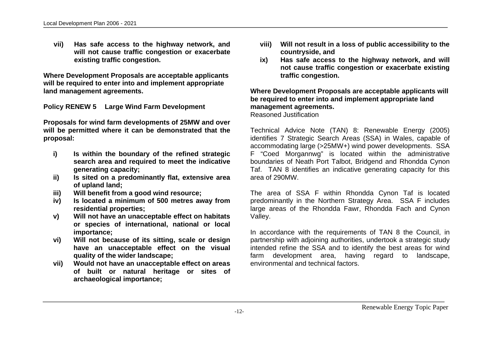**vii) Has safe access to the highway network, and will not cause traffic congestion or exacerbate existing traffic congestion.**

**Where Development Proposals are acceptable applicants will be required to enter into and implement appropriate land management agreements.**

**Policy RENEW 5 Large Wind Farm Development**

**Proposals for wind farm developments of 25MW and over will be permitted where it can be demonstrated that the proposal:**

- **i) Is within the boundary of the refined strategic search area and required to meet the indicative generating capacity;**
- **ii) Is sited on a predominantly flat, extensive area of upland land;**
- **iii) Will benefit from a good wind resource;**
- **iv) Is located a minimum of 500 metres away from residential properties;**
- **v) Will not have an unacceptable effect on habitats or species of international, national or local importance;**
- **vi) Will not because of its sitting, scale or design have an unacceptable effect on the visual quality of the wider landscape;**
- **vii) Would not have an unacceptable effect on areas of built or natural heritage or sites of archaeological importance;**
- **viii) Will not result in a loss of public accessibility to the countryside, and**
- **ix) Has safe access to the highway network, and will not cause traffic congestion or exacerbate existing traffic congestion.**

**Where Development Proposals are acceptable applicants will be required to enter into and implement appropriate land management agreements.**

Reasoned Justification

Technical Advice Note (TAN) 8: Renewable Energy (2005) identifies 7 Strategic Search Areas (SSA) in Wales, capable of accommodating large (>25MW+) wind power developments. SSA F "Coed Morgannwg" is located within the administrative boundaries of Neath Port Talbot, Bridgend and Rhondda Cynon Taf. TAN 8 identifies an indicative generating capacity for this area of 290MW.

The area of SSA F within Rhondda Cynon Taf is located predominantly in the Northern Strategy Area. SSA F includes large areas of the Rhondda Fawr, Rhondda Fach and Cynon Valley.

In accordance with the requirements of TAN 8 the Council, in partnership with adjoining authorities, undertook a strategic study intended refine the SSA and to identify the best areas for wind farm development area, having regard to landscape, environmental and technical factors.